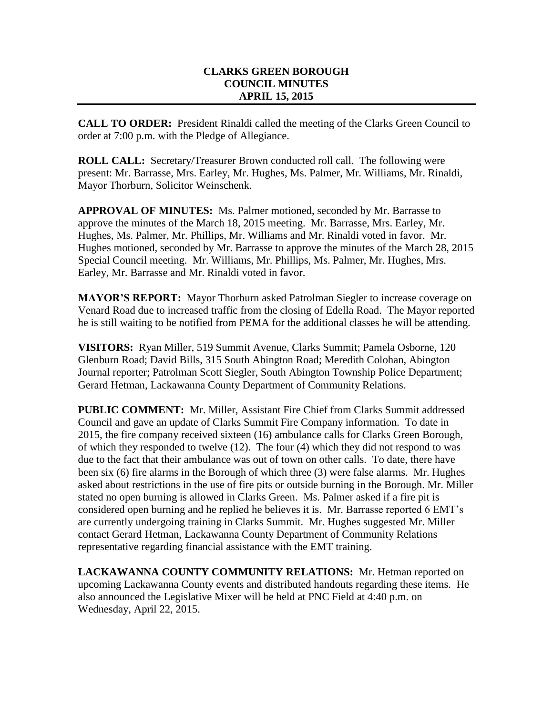## **CLARKS GREEN BOROUGH COUNCIL MINUTES APRIL 15, 2015**

**CALL TO ORDER:** President Rinaldi called the meeting of the Clarks Green Council to order at 7:00 p.m. with the Pledge of Allegiance.

**ROLL CALL:** Secretary/Treasurer Brown conducted roll call. The following were present: Mr. Barrasse, Mrs. Earley, Mr. Hughes, Ms. Palmer, Mr. Williams, Mr. Rinaldi, Mayor Thorburn, Solicitor Weinschenk.

**APPROVAL OF MINUTES:** Ms. Palmer motioned, seconded by Mr. Barrasse to approve the minutes of the March 18, 2015 meeting. Mr. Barrasse, Mrs. Earley, Mr. Hughes, Ms. Palmer, Mr. Phillips, Mr. Williams and Mr. Rinaldi voted in favor. Mr. Hughes motioned, seconded by Mr. Barrasse to approve the minutes of the March 28, 2015 Special Council meeting. Mr. Williams, Mr. Phillips, Ms. Palmer, Mr. Hughes, Mrs. Earley, Mr. Barrasse and Mr. Rinaldi voted in favor.

**MAYOR'S REPORT:** Mayor Thorburn asked Patrolman Siegler to increase coverage on Venard Road due to increased traffic from the closing of Edella Road. The Mayor reported he is still waiting to be notified from PEMA for the additional classes he will be attending.

**VISITORS:** Ryan Miller, 519 Summit Avenue, Clarks Summit; Pamela Osborne, 120 Glenburn Road; David Bills, 315 South Abington Road; Meredith Colohan, Abington Journal reporter; Patrolman Scott Siegler, South Abington Township Police Department; Gerard Hetman, Lackawanna County Department of Community Relations.

**PUBLIC COMMENT:** Mr. Miller, Assistant Fire Chief from Clarks Summit addressed Council and gave an update of Clarks Summit Fire Company information. To date in 2015, the fire company received sixteen (16) ambulance calls for Clarks Green Borough, of which they responded to twelve (12). The four (4) which they did not respond to was due to the fact that their ambulance was out of town on other calls. To date, there have been six (6) fire alarms in the Borough of which three (3) were false alarms. Mr. Hughes asked about restrictions in the use of fire pits or outside burning in the Borough. Mr. Miller stated no open burning is allowed in Clarks Green. Ms. Palmer asked if a fire pit is considered open burning and he replied he believes it is. Mr. Barrasse reported 6 EMT's are currently undergoing training in Clarks Summit. Mr. Hughes suggested Mr. Miller contact Gerard Hetman, Lackawanna County Department of Community Relations representative regarding financial assistance with the EMT training.

**LACKAWANNA COUNTY COMMUNITY RELATIONS:** Mr. Hetman reported on upcoming Lackawanna County events and distributed handouts regarding these items. He also announced the Legislative Mixer will be held at PNC Field at 4:40 p.m. on Wednesday, April 22, 2015.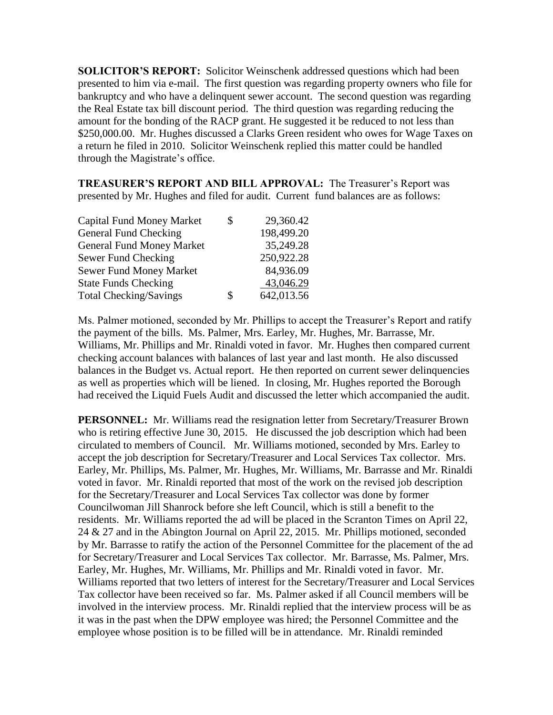**SOLICITOR'S REPORT:** Solicitor Weinschenk addressed questions which had been presented to him via e-mail. The first question was regarding property owners who file for bankruptcy and who have a delinquent sewer account. The second question was regarding the Real Estate tax bill discount period. The third question was regarding reducing the amount for the bonding of the RACP grant. He suggested it be reduced to not less than \$250,000.00. Mr. Hughes discussed a Clarks Green resident who owes for Wage Taxes on a return he filed in 2010. Solicitor Weinschenk replied this matter could be handled through the Magistrate's office.

**TREASURER'S REPORT AND BILL APPROVAL:** The Treasurer's Report was presented by Mr. Hughes and filed for audit. Current fund balances are as follows:

| <b>Capital Fund Money Market</b> | \$<br>29,360.42  |
|----------------------------------|------------------|
| General Fund Checking            | 198,499.20       |
| <b>General Fund Money Market</b> | 35,249.28        |
| Sewer Fund Checking              | 250,922.28       |
| <b>Sewer Fund Money Market</b>   | 84,936.09        |
| <b>State Funds Checking</b>      | 43,046.29        |
| <b>Total Checking/Savings</b>    | \$<br>642,013.56 |

Ms. Palmer motioned, seconded by Mr. Phillips to accept the Treasurer's Report and ratify the payment of the bills. Ms. Palmer, Mrs. Earley, Mr. Hughes, Mr. Barrasse, Mr. Williams, Mr. Phillips and Mr. Rinaldi voted in favor. Mr. Hughes then compared current checking account balances with balances of last year and last month. He also discussed balances in the Budget vs. Actual report. He then reported on current sewer delinquencies as well as properties which will be liened. In closing, Mr. Hughes reported the Borough had received the Liquid Fuels Audit and discussed the letter which accompanied the audit.

**PERSONNEL:** Mr. Williams read the resignation letter from Secretary/Treasurer Brown who is retiring effective June 30, 2015. He discussed the job description which had been circulated to members of Council. Mr. Williams motioned, seconded by Mrs. Earley to accept the job description for Secretary/Treasurer and Local Services Tax collector. Mrs. Earley, Mr. Phillips, Ms. Palmer, Mr. Hughes, Mr. Williams, Mr. Barrasse and Mr. Rinaldi voted in favor. Mr. Rinaldi reported that most of the work on the revised job description for the Secretary/Treasurer and Local Services Tax collector was done by former Councilwoman Jill Shanrock before she left Council, which is still a benefit to the residents. Mr. Williams reported the ad will be placed in the Scranton Times on April 22, 24 & 27 and in the Abington Journal on April 22, 2015. Mr. Phillips motioned, seconded by Mr. Barrasse to ratify the action of the Personnel Committee for the placement of the ad for Secretary/Treasurer and Local Services Tax collector. Mr. Barrasse, Ms. Palmer, Mrs. Earley, Mr. Hughes, Mr. Williams, Mr. Phillips and Mr. Rinaldi voted in favor. Mr. Williams reported that two letters of interest for the Secretary/Treasurer and Local Services Tax collector have been received so far. Ms. Palmer asked if all Council members will be involved in the interview process. Mr. Rinaldi replied that the interview process will be as it was in the past when the DPW employee was hired; the Personnel Committee and the employee whose position is to be filled will be in attendance. Mr. Rinaldi reminded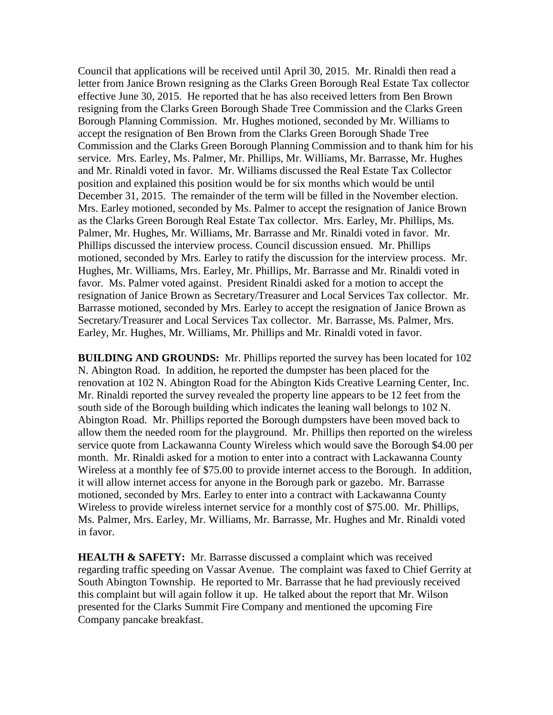Council that applications will be received until April 30, 2015. Mr. Rinaldi then read a letter from Janice Brown resigning as the Clarks Green Borough Real Estate Tax collector effective June 30, 2015. He reported that he has also received letters from Ben Brown resigning from the Clarks Green Borough Shade Tree Commission and the Clarks Green Borough Planning Commission. Mr. Hughes motioned, seconded by Mr. Williams to accept the resignation of Ben Brown from the Clarks Green Borough Shade Tree Commission and the Clarks Green Borough Planning Commission and to thank him for his service. Mrs. Earley, Ms. Palmer, Mr. Phillips, Mr. Williams, Mr. Barrasse, Mr. Hughes and Mr. Rinaldi voted in favor. Mr. Williams discussed the Real Estate Tax Collector position and explained this position would be for six months which would be until December 31, 2015. The remainder of the term will be filled in the November election. Mrs. Earley motioned, seconded by Ms. Palmer to accept the resignation of Janice Brown as the Clarks Green Borough Real Estate Tax collector. Mrs. Earley, Mr. Phillips, Ms. Palmer, Mr. Hughes, Mr. Williams, Mr. Barrasse and Mr. Rinaldi voted in favor. Mr. Phillips discussed the interview process. Council discussion ensued. Mr. Phillips motioned, seconded by Mrs. Earley to ratify the discussion for the interview process. Mr. Hughes, Mr. Williams, Mrs. Earley, Mr. Phillips, Mr. Barrasse and Mr. Rinaldi voted in favor. Ms. Palmer voted against. President Rinaldi asked for a motion to accept the resignation of Janice Brown as Secretary/Treasurer and Local Services Tax collector. Mr. Barrasse motioned, seconded by Mrs. Earley to accept the resignation of Janice Brown as Secretary/Treasurer and Local Services Tax collector. Mr. Barrasse, Ms. Palmer, Mrs. Earley, Mr. Hughes, Mr. Williams, Mr. Phillips and Mr. Rinaldi voted in favor.

**BUILDING AND GROUNDS:** Mr. Phillips reported the survey has been located for 102 N. Abington Road. In addition, he reported the dumpster has been placed for the renovation at 102 N. Abington Road for the Abington Kids Creative Learning Center, Inc. Mr. Rinaldi reported the survey revealed the property line appears to be 12 feet from the south side of the Borough building which indicates the leaning wall belongs to 102 N. Abington Road. Mr. Phillips reported the Borough dumpsters have been moved back to allow them the needed room for the playground. Mr. Phillips then reported on the wireless service quote from Lackawanna County Wireless which would save the Borough \$4.00 per month. Mr. Rinaldi asked for a motion to enter into a contract with Lackawanna County Wireless at a monthly fee of \$75.00 to provide internet access to the Borough. In addition, it will allow internet access for anyone in the Borough park or gazebo. Mr. Barrasse motioned, seconded by Mrs. Earley to enter into a contract with Lackawanna County Wireless to provide wireless internet service for a monthly cost of \$75.00. Mr. Phillips, Ms. Palmer, Mrs. Earley, Mr. Williams, Mr. Barrasse, Mr. Hughes and Mr. Rinaldi voted in favor.

**HEALTH & SAFETY:** Mr. Barrasse discussed a complaint which was received regarding traffic speeding on Vassar Avenue. The complaint was faxed to Chief Gerrity at South Abington Township. He reported to Mr. Barrasse that he had previously received this complaint but will again follow it up. He talked about the report that Mr. Wilson presented for the Clarks Summit Fire Company and mentioned the upcoming Fire Company pancake breakfast.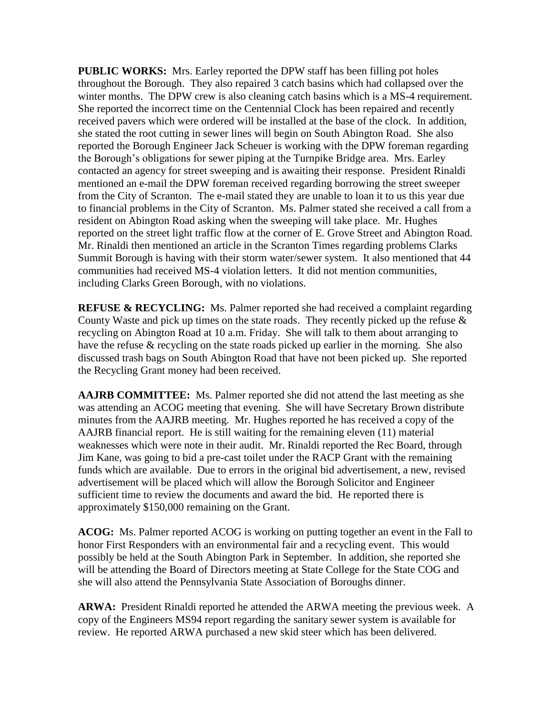**PUBLIC WORKS:** Mrs. Earley reported the DPW staff has been filling pot holes throughout the Borough. They also repaired 3 catch basins which had collapsed over the winter months. The DPW crew is also cleaning catch basins which is a MS-4 requirement. She reported the incorrect time on the Centennial Clock has been repaired and recently received pavers which were ordered will be installed at the base of the clock. In addition, she stated the root cutting in sewer lines will begin on South Abington Road. She also reported the Borough Engineer Jack Scheuer is working with the DPW foreman regarding the Borough's obligations for sewer piping at the Turnpike Bridge area. Mrs. Earley contacted an agency for street sweeping and is awaiting their response. President Rinaldi mentioned an e-mail the DPW foreman received regarding borrowing the street sweeper from the City of Scranton. The e-mail stated they are unable to loan it to us this year due to financial problems in the City of Scranton. Ms. Palmer stated she received a call from a resident on Abington Road asking when the sweeping will take place. Mr. Hughes reported on the street light traffic flow at the corner of E. Grove Street and Abington Road. Mr. Rinaldi then mentioned an article in the Scranton Times regarding problems Clarks Summit Borough is having with their storm water/sewer system. It also mentioned that 44 communities had received MS-4 violation letters. It did not mention communities, including Clarks Green Borough, with no violations.

**REFUSE & RECYCLING:** Ms. Palmer reported she had received a complaint regarding County Waste and pick up times on the state roads. They recently picked up the refuse  $\&$ recycling on Abington Road at 10 a.m. Friday. She will talk to them about arranging to have the refuse & recycling on the state roads picked up earlier in the morning. She also discussed trash bags on South Abington Road that have not been picked up. She reported the Recycling Grant money had been received.

**AAJRB COMMITTEE:** Ms. Palmer reported she did not attend the last meeting as she was attending an ACOG meeting that evening. She will have Secretary Brown distribute minutes from the AAJRB meeting. Mr. Hughes reported he has received a copy of the AAJRB financial report. He is still waiting for the remaining eleven (11) material weaknesses which were note in their audit. Mr. Rinaldi reported the Rec Board, through Jim Kane, was going to bid a pre-cast toilet under the RACP Grant with the remaining funds which are available. Due to errors in the original bid advertisement, a new, revised advertisement will be placed which will allow the Borough Solicitor and Engineer sufficient time to review the documents and award the bid. He reported there is approximately \$150,000 remaining on the Grant.

**ACOG:** Ms. Palmer reported ACOG is working on putting together an event in the Fall to honor First Responders with an environmental fair and a recycling event. This would possibly be held at the South Abington Park in September. In addition, she reported she will be attending the Board of Directors meeting at State College for the State COG and she will also attend the Pennsylvania State Association of Boroughs dinner.

**ARWA:** President Rinaldi reported he attended the ARWA meeting the previous week. A copy of the Engineers MS94 report regarding the sanitary sewer system is available for review. He reported ARWA purchased a new skid steer which has been delivered.